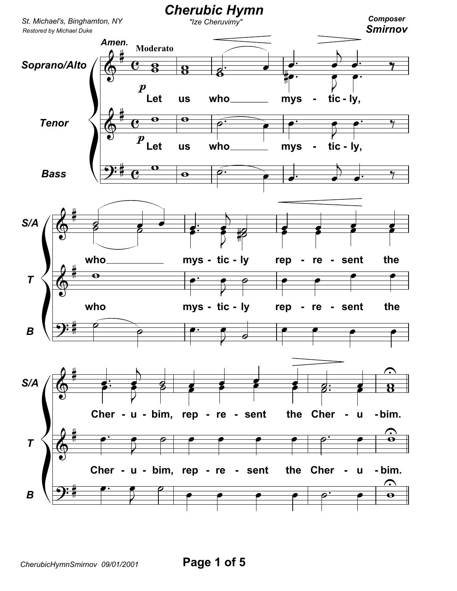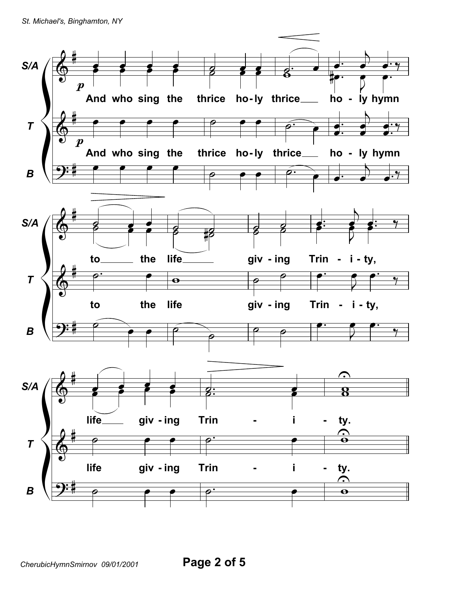St. Michael's, Binghamton, NY

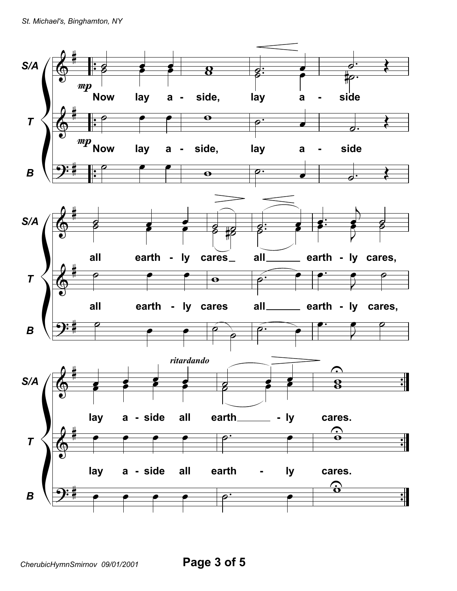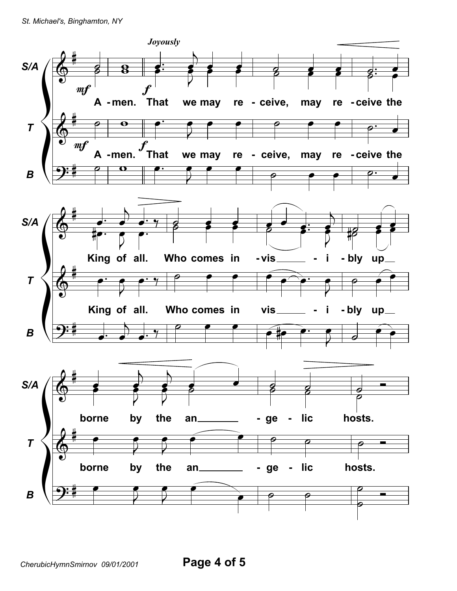